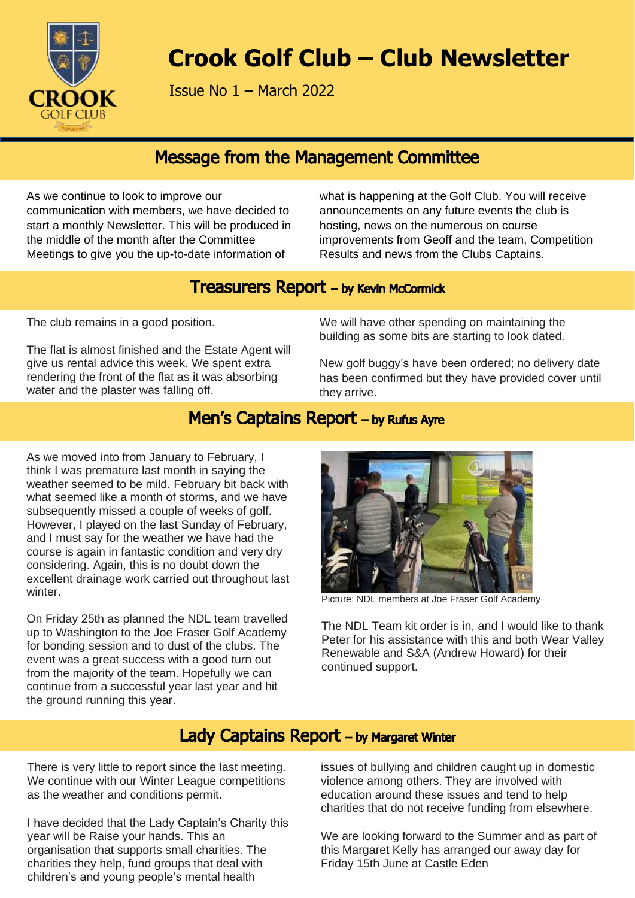

# **Crook Golf Club – Club Newsletter**

Issue No 1 – March 2022

# **Message from the Management Committee**

As we continue to look to improve our communication with members, we have decided to start a monthly Newsletter. This will be produced in the middle of the month after the Committee Meetings to give you the up-to-date information of

what is happening at the Golf Club. You will receive announcements on any future events the club is hosting, news on the numerous on course improvements from Geoff and the team, Competition Results and news from the Clubs Captains.

# **Treasurers Report - by Kevin McCormick**

The club remains in a good position.

The flat is almost finished and the Estate Agent will give us rental advice this week. We spent extra rendering the front of the flat as it was absorbing water and the plaster was falling off.

We will have other spending on maintaining the building as some bits are starting to look dated.

New golf buggy's have been ordered; no delivery date has been confirmed but they have provided cover until they arrive.

# Men's Captains Report - by Rufus Ayre

As we moved into from January to February, I think I was premature last month in saying the weather seemed to be mild. February bit back with what seemed like a month of storms, and we have subsequently missed a couple of weeks of golf. However, I played on the last Sunday of February, and I must say for the weather we have had the course is again in fantastic condition and very dry considering. Again, this is no doubt down the excellent drainage work carried out throughout last winter.

On Friday 25th as planned the NDL team travelled up to Washington to the Joe Fraser Golf Academy for bonding session and to dust of the clubs. The event was a great success with a good turn out from the majority of the team. Hopefully we can continue from a successful year last year and hit the ground running this year.



Picture: NDL members at Joe Fraser Golf Academy

The NDL Team kit order is in, and I would like to thank Peter for his assistance with this and both Wear Valley Renewable and S&A (Andrew Howard) for their continued support.

# Lady Captains Report - by Margaret Winter

There is very little to report since the last meeting. We continue with our Winter League competitions as the weather and conditions permit.

I have decided that the Lady Captain's Charity this year will be Raise your hands. This an organisation that supports small charities. The charities they help, fund groups that deal with children's and young people's mental health

issues of bullying and children caught up in domestic violence among others. They are involved with education around these issues and tend to help charities that do not receive funding from elsewhere.

We are looking forward to the Summer and as part of this Margaret Kelly has arranged our away day for Friday 15th June at Castle Eden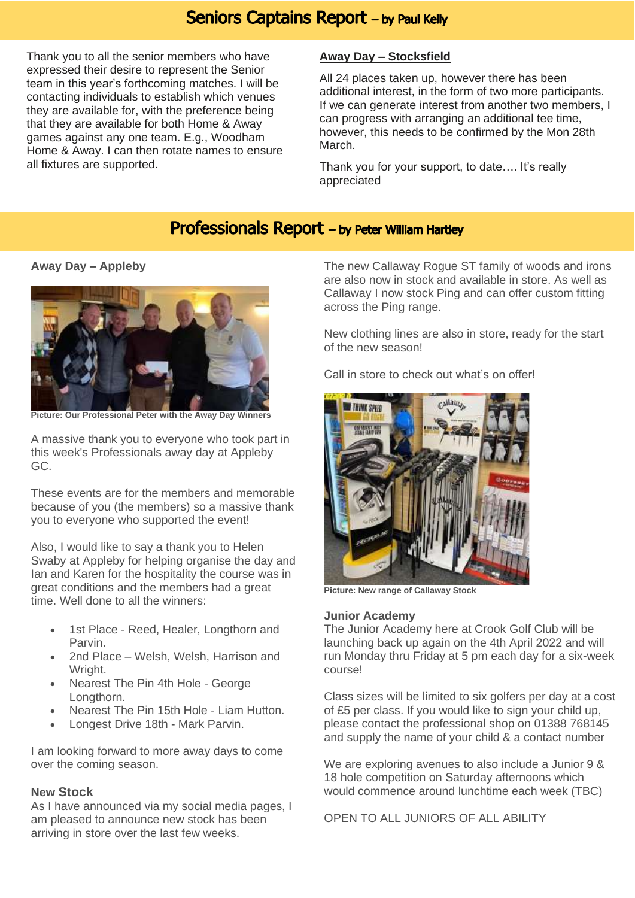### **Seniors Captains Report - by Paul Kelly**

Thank you to all the senior members who have expressed their desire to represent the Senior team in this year's forthcoming matches. I will be contacting individuals to establish which venues they are available for, with the preference being that they are available for both Home & Away games against any one team. E.g., Woodham Home & Away. I can then rotate names to ensure all fixtures are supported.

### **Away Day – Stocksfield**

All 24 places taken up, however there has been additional interest, in the form of two more participants. If we can generate interest from another two members, I can progress with arranging an additional tee time, however, this needs to be confirmed by the Mon 28th March.

Thank you for your support, to date…. It's really appreciated

# Professionals Report - by Peter William Hartley

**Away Day – Appleby**



**Picture: Our Professional Peter with the Away Day Winners**

A massive thank you to everyone who took part in this week's Professionals away day at Appleby GC.

These events are for the members and memorable because of you (the members) so a massive thank you to everyone who supported the event!

Also, I would like to say a thank you to Helen Swaby at Appleby for helping organise the day and Ian and Karen for the hospitality the course was in great conditions and the members had a great time. Well done to all the winners:

- 1st Place Reed, Healer, Longthorn and Parvin.
- 2nd Place Welsh, Welsh, Harrison and Wright.
- Nearest The Pin 4th Hole George Longthorn.
- Nearest The Pin 15th Hole Liam Hutton.
- Longest Drive 18th Mark Parvin.

I am looking forward to more away days to come over the coming season.

### **New Stock**

As I have announced via my social media pages, I am pleased to announce new stock has been arriving in store over the last few weeks.

The new Callaway Rogue ST family of woods and irons are also now in stock and available in store. As well as Callaway I now stock Ping and can offer custom fitting across the Ping range.

New clothing lines are also in store, ready for the start of the new season!

Call in store to check out what's on offer!



**Picture: New range of Callaway Stock**

### **Junior Academy**

The Junior Academy here at Crook Golf Club will be launching back up again on the 4th April 2022 and will run Monday thru Friday at 5 pm each day for a six-week course!

Class sizes will be limited to six golfers per day at a cost of £5 per class. If you would like to sign your child up, please contact the professional shop on 01388 768145 and supply the name of your child & a contact number

We are exploring avenues to also include a Junior 9 & 18 hole competition on Saturday afternoons which would commence around lunchtime each week (TBC)

OPEN TO ALL JUNIORS OF ALL ABILITY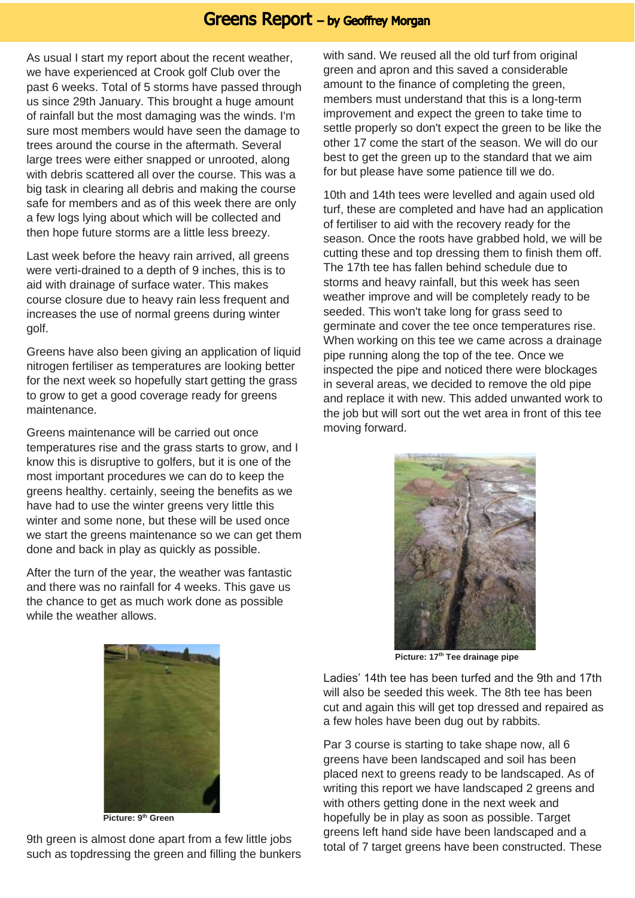### **Greens Report - by Geoffrey Morgan**

As usual I start my report about the recent weather, we have experienced at Crook golf Club over the past 6 weeks. Total of 5 storms have passed through us since 29th January. This brought a huge amount of rainfall but the most damaging was the winds. I'm sure most members would have seen the damage to trees around the course in the aftermath. Several large trees were either snapped or unrooted, along with debris scattered all over the course. This was a big task in clearing all debris and making the course safe for members and as of this week there are only a few logs lying about which will be collected and then hope future storms are a little less breezy.

Last week before the heavy rain arrived, all greens were verti-drained to a depth of 9 inches, this is to aid with drainage of surface water. This makes course closure due to heavy rain less frequent and increases the use of normal greens during winter golf.

Greens have also been giving an application of liquid nitrogen fertiliser as temperatures are looking better for the next week so hopefully start getting the grass to grow to get a good coverage ready for greens maintenance.

Greens maintenance will be carried out once temperatures rise and the grass starts to grow, and I know this is disruptive to golfers, but it is one of the most important procedures we can do to keep the greens healthy. certainly, seeing the benefits as we have had to use the winter greens very little this winter and some none, but these will be used once we start the greens maintenance so we can get them done and back in play as quickly as possible.

After the turn of the year, the weather was fantastic and there was no rainfall for 4 weeks. This gave us the chance to get as much work done as possible while the weather allows.

with sand. We reused all the old turf from original green and apron and this saved a considerable amount to the finance of completing the green, members must understand that this is a long-term improvement and expect the green to take time to settle properly so don't expect the green to be like the other 17 come the start of the season. We will do our best to get the green up to the standard that we aim for but please have some patience till we do.

10th and 14th tees were levelled and again used old turf, these are completed and have had an application of fertiliser to aid with the recovery ready for the season. Once the roots have grabbed hold, we will be cutting these and top dressing them to finish them off. The 17th tee has fallen behind schedule due to storms and heavy rainfall, but this week has seen weather improve and will be completely ready to be seeded. This won't take long for grass seed to germinate and cover the tee once temperatures rise. When working on this tee we came across a drainage pipe running along the top of the tee. Once we inspected the pipe and noticed there were blockages in several areas, we decided to remove the old pipe and replace it with new. This added unwanted work to the job but will sort out the wet area in front of this tee moving forward.



**Picture: 17th Tee drainage pipe**

Ladies' 14th tee has been turfed and the 9th and 17th will also be seeded this week. The 8th tee has been cut and again this will get top dressed and repaired as a few holes have been dug out by rabbits.

Par 3 course is starting to take shape now, all 6 greens have been landscaped and soil has been placed next to greens ready to be landscaped. As of writing this report we have landscaped 2 greens and with others getting done in the next week and hopefully be in play as soon as possible. Target greens left hand side have been landscaped and a total of 7 target greens have been constructed. These



**Picture: 9th Green**

9th green is almost done apart from a few little jobs such as topdressing the green and filling the bunkers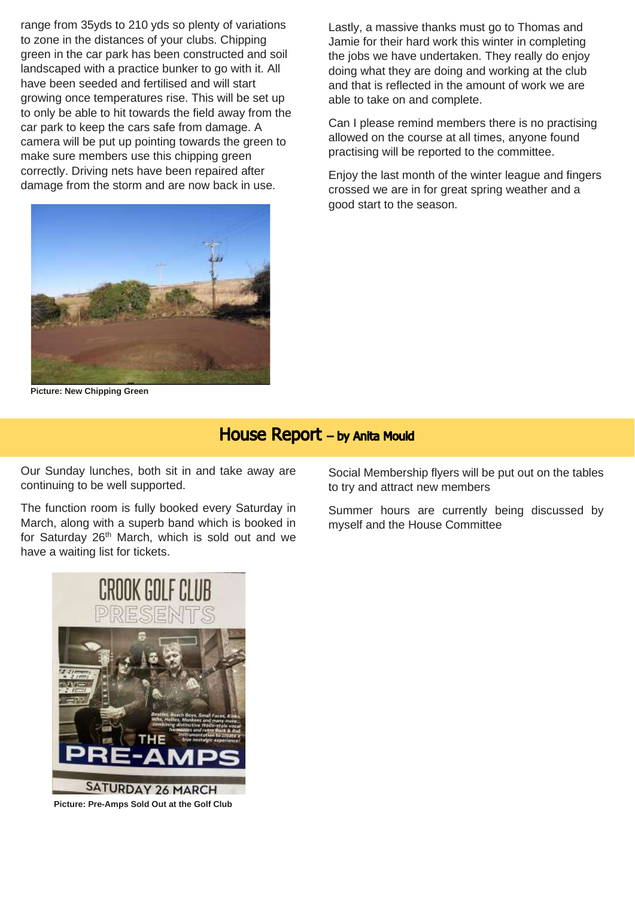range from 35yds to 210 yds so plenty of variations to zone in the distances of your clubs. Chipping green in the car park has been constructed and soil landscaped with a practice bunker to go with it. All have been seeded and fertilised and will start growing once temperatures rise. This will be set up to only be able to hit towards the field away from the car park to keep the cars safe from damage. A camera will be put up pointing towards the green to make sure members use this chipping green correctly. Driving nets have been repaired after damage from the storm and are now back in use.



**Picture: New Chipping Green**

Lastly, a massive thanks must go to Thomas and Jamie for their hard work this winter in completing the jobs we have undertaken. They really do enjoy doing what they are doing and working at the club and that is reflected in the amount of work we are able to take on and complete.

Can I please remind members there is no practising allowed on the course at all times, anyone found practising will be reported to the committee.

Enjoy the last month of the winter league and fingers crossed we are in for great spring weather and a good start to the season.

House Report - by Anita Mould

Our Sunday lunches, both sit in and take away are continuing to be well supported.

The function room is fully booked every Saturday in March, along with a superb band which is booked in for Saturday 26<sup>th</sup> March, which is sold out and we have a waiting list for tickets.

Social Membership flyers will be put out on the tables to try and attract new members

Summer hours are currently being discussed by myself and the House Committee